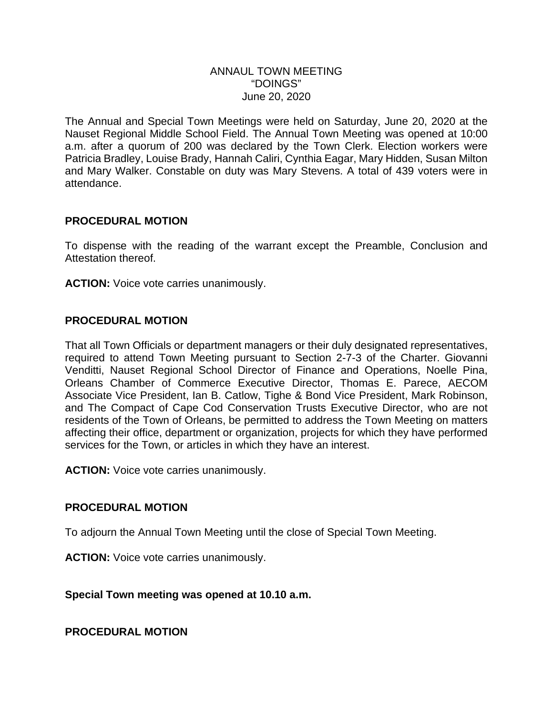#### ANNAUL TOWN MEETING "DOINGS" June 20, 2020

The Annual and Special Town Meetings were held on Saturday, June 20, 2020 at the Nauset Regional Middle School Field. The Annual Town Meeting was opened at 10:00 a.m. after a quorum of 200 was declared by the Town Clerk. Election workers were Patricia Bradley, Louise Brady, Hannah Caliri, Cynthia Eagar, Mary Hidden, Susan Milton and Mary Walker. Constable on duty was Mary Stevens. A total of 439 voters were in attendance.

### **PROCEDURAL MOTION**

To dispense with the reading of the warrant except the Preamble, Conclusion and Attestation thereof.

**ACTION:** Voice vote carries unanimously.

#### **PROCEDURAL MOTION**

That all Town Officials or department managers or their duly designated representatives, required to attend Town Meeting pursuant to Section 2-7-3 of the Charter. Giovanni Venditti, Nauset Regional School Director of Finance and Operations, Noelle Pina, Orleans Chamber of Commerce Executive Director, Thomas E. Parece, AECOM Associate Vice President, Ian B. Catlow, Tighe & Bond Vice President, Mark Robinson, and The Compact of Cape Cod Conservation Trusts Executive Director, who are not residents of the Town of Orleans, be permitted to address the Town Meeting on matters affecting their office, department or organization, projects for which they have performed services for the Town, or articles in which they have an interest.

**ACTION:** Voice vote carries unanimously.

#### **PROCEDURAL MOTION**

To adjourn the Annual Town Meeting until the close of Special Town Meeting.

**ACTION:** Voice vote carries unanimously.

**Special Town meeting was opened at 10.10 a.m.**

**PROCEDURAL MOTION**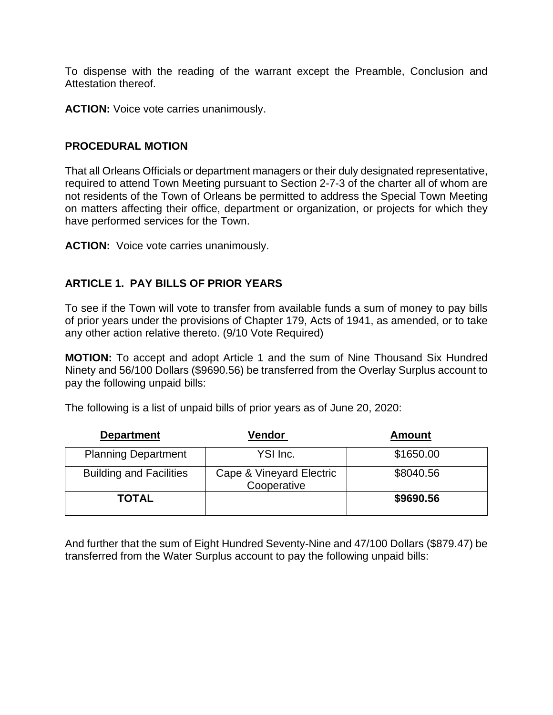To dispense with the reading of the warrant except the Preamble, Conclusion and Attestation thereof.

**ACTION:** Voice vote carries unanimously.

#### **PROCEDURAL MOTION**

That all Orleans Officials or department managers or their duly designated representative, required to attend Town Meeting pursuant to Section 2-7-3 of the charter all of whom are not residents of the Town of Orleans be permitted to address the Special Town Meeting on matters affecting their office, department or organization, or projects for which they have performed services for the Town.

**ACTION:** Voice vote carries unanimously.

### **ARTICLE 1. PAY BILLS OF PRIOR YEARS**

To see if the Town will vote to transfer from available funds a sum of money to pay bills of prior years under the provisions of Chapter 179, Acts of 1941, as amended, or to take any other action relative thereto. (9/10 Vote Required)

**MOTION:** To accept and adopt Article 1 and the sum of Nine Thousand Six Hundred Ninety and 56/100 Dollars (\$9690.56) be transferred from the Overlay Surplus account to pay the following unpaid bills:

| <b>Department</b>              | <b>Vendor</b>                           | <b>Amount</b> |  |  |
|--------------------------------|-----------------------------------------|---------------|--|--|
| <b>Planning Department</b>     | YSI Inc.                                | \$1650.00     |  |  |
| <b>Building and Facilities</b> | Cape & Vineyard Electric<br>Cooperative | \$8040.56     |  |  |
| <b>TOTAL</b>                   |                                         | \$9690.56     |  |  |

The following is a list of unpaid bills of prior years as of June 20, 2020:

And further that the sum of Eight Hundred Seventy-Nine and 47/100 Dollars (\$879.47) be transferred from the Water Surplus account to pay the following unpaid bills: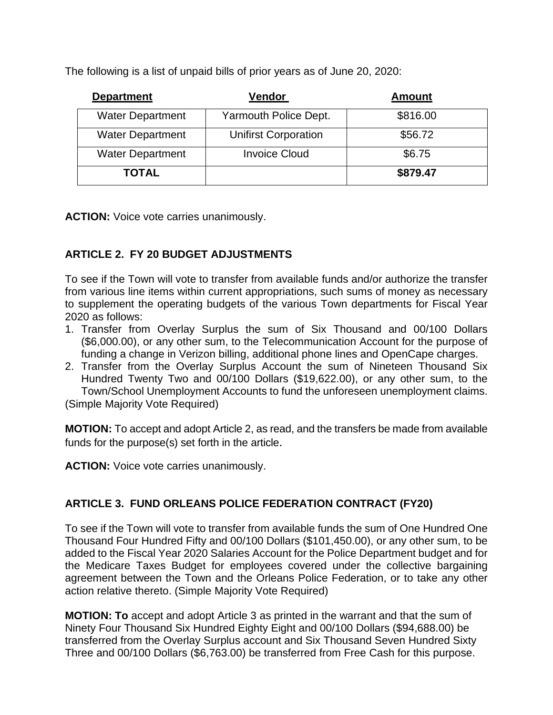The following is a list of unpaid bills of prior years as of June 20, 2020:

| <b>Department</b>       | Vendor                      | <b>Amount</b> |  |
|-------------------------|-----------------------------|---------------|--|
| <b>Water Department</b> | Yarmouth Police Dept.       | \$816.00      |  |
| <b>Water Department</b> | <b>Unifirst Corporation</b> | \$56.72       |  |
| <b>Water Department</b> | <b>Invoice Cloud</b>        | \$6.75        |  |
| <b>TOTAL</b>            |                             | \$879.47      |  |

**ACTION:** Voice vote carries unanimously.

# **ARTICLE 2. FY 20 BUDGET ADJUSTMENTS**

To see if the Town will vote to transfer from available funds and/or authorize the transfer from various line items within current appropriations, such sums of money as necessary to supplement the operating budgets of the various Town departments for Fiscal Year 2020 as follows:

- 1. Transfer from Overlay Surplus the sum of Six Thousand and 00/100 Dollars (\$6,000.00), or any other sum, to the Telecommunication Account for the purpose of funding a change in Verizon billing, additional phone lines and OpenCape charges.
- 2. Transfer from the Overlay Surplus Account the sum of Nineteen Thousand Six Hundred Twenty Two and 00/100 Dollars (\$19,622.00), or any other sum, to the Town/School Unemployment Accounts to fund the unforeseen unemployment claims.

(Simple Majority Vote Required)

**MOTION:** To accept and adopt Article 2, as read, and the transfers be made from available funds for the purpose(s) set forth in the article.

**ACTION:** Voice vote carries unanimously.

# **ARTICLE 3. FUND ORLEANS POLICE FEDERATION CONTRACT (FY20)**

To see if the Town will vote to transfer from available funds the sum of One Hundred One Thousand Four Hundred Fifty and 00/100 Dollars (\$101,450.00), or any other sum, to be added to the Fiscal Year 2020 Salaries Account for the Police Department budget and for the Medicare Taxes Budget for employees covered under the collective bargaining agreement between the Town and the Orleans Police Federation, or to take any other action relative thereto. (Simple Majority Vote Required)

**MOTION: To** accept and adopt Article 3 as printed in the warrant and that the sum of Ninety Four Thousand Six Hundred Eighty Eight and 00/100 Dollars (\$94,688.00) be transferred from the Overlay Surplus account and Six Thousand Seven Hundred Sixty Three and 00/100 Dollars (\$6,763.00) be transferred from Free Cash for this purpose.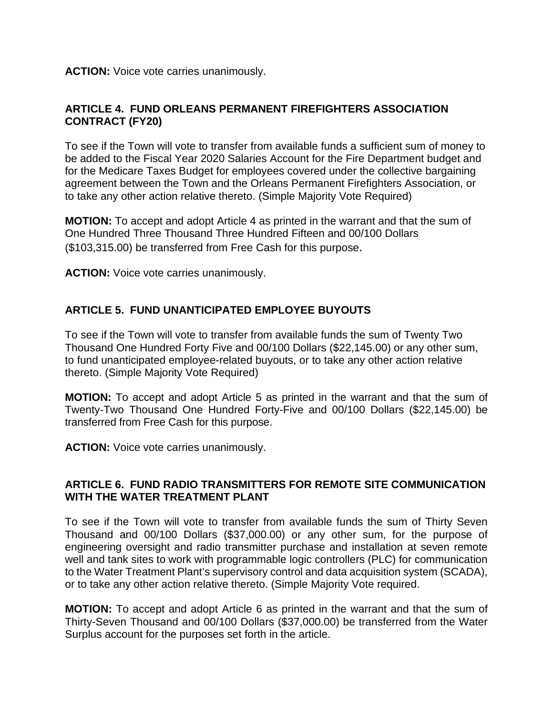**ACTION:** Voice vote carries unanimously.

### **ARTICLE 4. FUND ORLEANS PERMANENT FIREFIGHTERS ASSOCIATION CONTRACT (FY20)**

To see if the Town will vote to transfer from available funds a sufficient sum of money to be added to the Fiscal Year 2020 Salaries Account for the Fire Department budget and for the Medicare Taxes Budget for employees covered under the collective bargaining agreement between the Town and the Orleans Permanent Firefighters Association, or to take any other action relative thereto. (Simple Majority Vote Required)

**MOTION:** To accept and adopt Article 4 as printed in the warrant and that the sum of One Hundred Three Thousand Three Hundred Fifteen and 00/100 Dollars (\$103,315.00) be transferred from Free Cash for this purpose.

**ACTION:** Voice vote carries unanimously.

## **ARTICLE 5. FUND UNANTICIPATED EMPLOYEE BUYOUTS**

To see if the Town will vote to transfer from available funds the sum of Twenty Two Thousand One Hundred Forty Five and 00/100 Dollars (\$22,145.00) or any other sum, to fund unanticipated employee-related buyouts, or to take any other action relative thereto. (Simple Majority Vote Required)

**MOTION:** To accept and adopt Article 5 as printed in the warrant and that the sum of Twenty-Two Thousand One Hundred Forty-Five and 00/100 Dollars (\$22,145.00) be transferred from Free Cash for this purpose.

**ACTION:** Voice vote carries unanimously.

#### **ARTICLE 6. FUND RADIO TRANSMITTERS FOR REMOTE SITE COMMUNICATION WITH THE WATER TREATMENT PLANT**

To see if the Town will vote to transfer from available funds the sum of Thirty Seven Thousand and 00/100 Dollars (\$37,000.00) or any other sum, for the purpose of engineering oversight and radio transmitter purchase and installation at seven remote well and tank sites to work with programmable logic controllers (PLC) for communication to the Water Treatment Plant's supervisory control and data acquisition system (SCADA), or to take any other action relative thereto. (Simple Majority Vote required.

**MOTION:** To accept and adopt Article 6 as printed in the warrant and that the sum of Thirty-Seven Thousand and 00/100 Dollars (\$37,000.00) be transferred from the Water Surplus account for the purposes set forth in the article.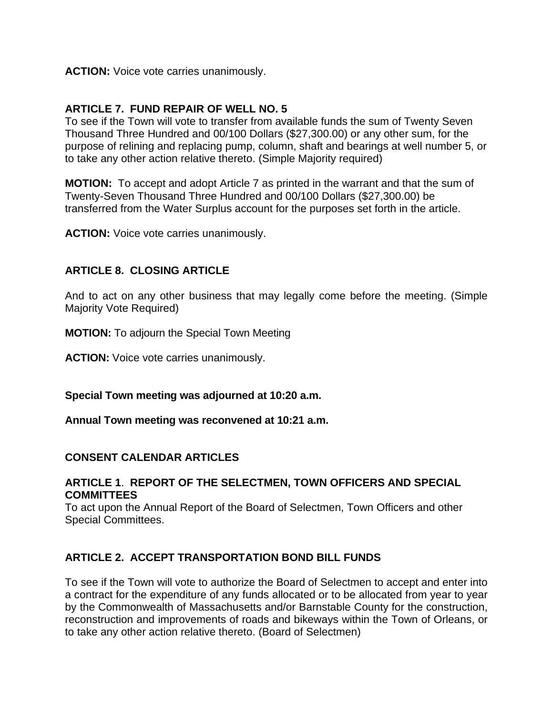**ACTION:** Voice vote carries unanimously.

#### **ARTICLE 7. FUND REPAIR OF WELL NO. 5**

To see if the Town will vote to transfer from available funds the sum of Twenty Seven Thousand Three Hundred and 00/100 Dollars (\$27,300.00) or any other sum, for the purpose of relining and replacing pump, column, shaft and bearings at well number 5, or to take any other action relative thereto. (Simple Majority required)

**MOTION:** To accept and adopt Article 7 as printed in the warrant and that the sum of Twenty-Seven Thousand Three Hundred and 00/100 Dollars (\$27,300.00) be transferred from the Water Surplus account for the purposes set forth in the article.

**ACTION:** Voice vote carries unanimously.

### **ARTICLE 8. CLOSING ARTICLE**

And to act on any other business that may legally come before the meeting. (Simple Majority Vote Required)

**MOTION:** To adjourn the Special Town Meeting

**ACTION:** Voice vote carries unanimously.

**Special Town meeting was adjourned at 10:20 a.m.**

**Annual Town meeting was reconvened at 10:21 a.m.**

#### **CONSENT CALENDAR ARTICLES**

#### **ARTICLE 1**. **REPORT OF THE SELECTMEN, TOWN OFFICERS AND SPECIAL COMMITTEES**

To act upon the Annual Report of the Board of Selectmen, Town Officers and other Special Committees.

## **ARTICLE 2. ACCEPT TRANSPORTATION BOND BILL FUNDS**

To see if the Town will vote to authorize the Board of Selectmen to accept and enter into a contract for the expenditure of any funds allocated or to be allocated from year to year by the Commonwealth of Massachusetts and/or Barnstable County for the construction, reconstruction and improvements of roads and bikeways within the Town of Orleans, or to take any other action relative thereto. (Board of Selectmen)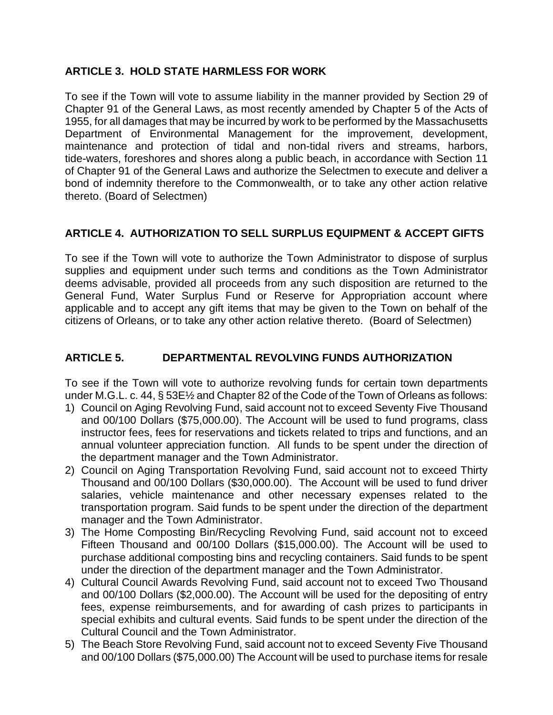## **ARTICLE 3. HOLD STATE HARMLESS FOR WORK**

To see if the Town will vote to assume liability in the manner provided by Section 29 of Chapter 91 of the General Laws, as most recently amended by Chapter 5 of the Acts of 1955, for all damages that may be incurred by work to be performed by the Massachusetts Department of Environmental Management for the improvement, development, maintenance and protection of tidal and non-tidal rivers and streams, harbors, tide-waters, foreshores and shores along a public beach, in accordance with Section 11 of Chapter 91 of the General Laws and authorize the Selectmen to execute and deliver a bond of indemnity therefore to the Commonwealth, or to take any other action relative thereto. (Board of Selectmen)

# **ARTICLE 4. AUTHORIZATION TO SELL SURPLUS EQUIPMENT & ACCEPT GIFTS**

To see if the Town will vote to authorize the Town Administrator to dispose of surplus supplies and equipment under such terms and conditions as the Town Administrator deems advisable, provided all proceeds from any such disposition are returned to the General Fund, Water Surplus Fund or Reserve for Appropriation account where applicable and to accept any gift items that may be given to the Town on behalf of the citizens of Orleans, or to take any other action relative thereto. (Board of Selectmen)

# **ARTICLE 5. DEPARTMENTAL REVOLVING FUNDS AUTHORIZATION**

To see if the Town will vote to authorize revolving funds for certain town departments under M.G.L. c. 44, § 53E½ and Chapter 82 of the Code of the Town of Orleans as follows:

- 1) Council on Aging Revolving Fund, said account not to exceed Seventy Five Thousand and 00/100 Dollars (\$75,000.00). The Account will be used to fund programs, class instructor fees, fees for reservations and tickets related to trips and functions, and an annual volunteer appreciation function. All funds to be spent under the direction of the department manager and the Town Administrator.
- 2) Council on Aging Transportation Revolving Fund, said account not to exceed Thirty Thousand and 00/100 Dollars (\$30,000.00). The Account will be used to fund driver salaries, vehicle maintenance and other necessary expenses related to the transportation program. Said funds to be spent under the direction of the department manager and the Town Administrator.
- 3) The Home Composting Bin/Recycling Revolving Fund, said account not to exceed Fifteen Thousand and 00/100 Dollars (\$15,000.00). The Account will be used to purchase additional composting bins and recycling containers. Said funds to be spent under the direction of the department manager and the Town Administrator.
- 4) Cultural Council Awards Revolving Fund, said account not to exceed Two Thousand and 00/100 Dollars (\$2,000.00). The Account will be used for the depositing of entry fees, expense reimbursements, and for awarding of cash prizes to participants in special exhibits and cultural events. Said funds to be spent under the direction of the Cultural Council and the Town Administrator.
- 5) The Beach Store Revolving Fund, said account not to exceed Seventy Five Thousand and 00/100 Dollars (\$75,000.00) The Account will be used to purchase items for resale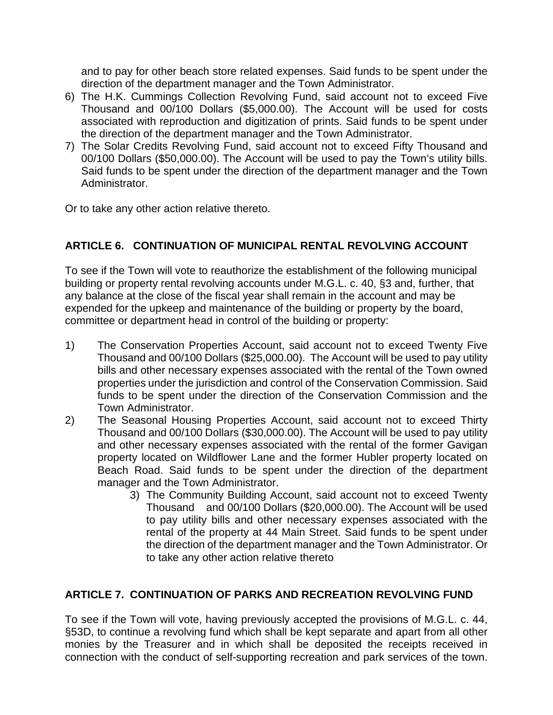and to pay for other beach store related expenses. Said funds to be spent under the direction of the department manager and the Town Administrator.

- 6) The H.K. Cummings Collection Revolving Fund, said account not to exceed Five Thousand and 00/100 Dollars (\$5,000.00). The Account will be used for costs associated with reproduction and digitization of prints. Said funds to be spent under the direction of the department manager and the Town Administrator.
- 7) The Solar Credits Revolving Fund, said account not to exceed Fifty Thousand and 00/100 Dollars (\$50,000.00). The Account will be used to pay the Town's utility bills. Said funds to be spent under the direction of the department manager and the Town Administrator.

Or to take any other action relative thereto.

## **ARTICLE 6. CONTINUATION OF MUNICIPAL RENTAL REVOLVING ACCOUNT**

To see if the Town will vote to reauthorize the establishment of the following municipal building or property rental revolving accounts under M.G.L. c. 40, §3 and, further, that any balance at the close of the fiscal year shall remain in the account and may be expended for the upkeep and maintenance of the building or property by the board, committee or department head in control of the building or property:

- 1) The Conservation Properties Account, said account not to exceed Twenty Five Thousand and 00/100 Dollars (\$25,000.00). The Account will be used to pay utility bills and other necessary expenses associated with the rental of the Town owned properties under the jurisdiction and control of the Conservation Commission. Said funds to be spent under the direction of the Conservation Commission and the Town Administrator.
- 2) The Seasonal Housing Properties Account, said account not to exceed Thirty Thousand and 00/100 Dollars (\$30,000.00). The Account will be used to pay utility and other necessary expenses associated with the rental of the former Gavigan property located on Wildflower Lane and the former Hubler property located on Beach Road. Said funds to be spent under the direction of the department manager and the Town Administrator.
	- 3) The Community Building Account, said account not to exceed Twenty Thousand and 00/100 Dollars (\$20,000.00). The Account will be used to pay utility bills and other necessary expenses associated with the rental of the property at 44 Main Street. Said funds to be spent under the direction of the department manager and the Town Administrator. Or to take any other action relative thereto

# **ARTICLE 7. CONTINUATION OF PARKS AND RECREATION REVOLVING FUND**

To see if the Town will vote, having previously accepted the provisions of M.G.L. c. 44, §53D, to continue a revolving fund which shall be kept separate and apart from all other monies by the Treasurer and in which shall be deposited the receipts received in connection with the conduct of self-supporting recreation and park services of the town.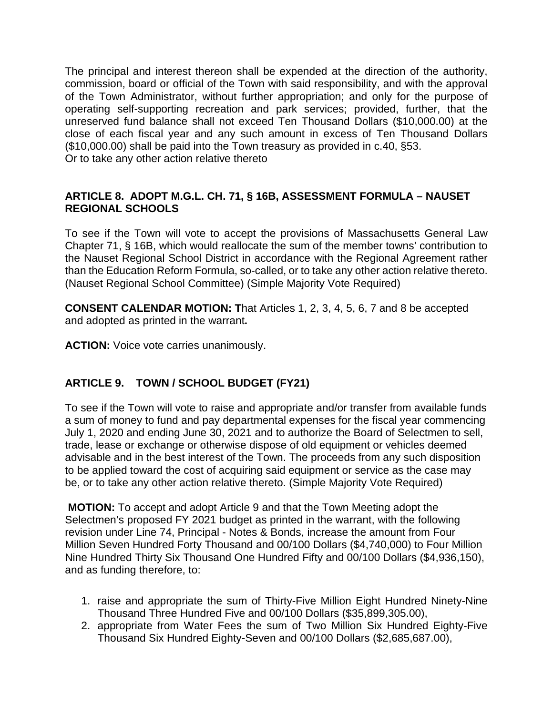The principal and interest thereon shall be expended at the direction of the authority, commission, board or official of the Town with said responsibility, and with the approval of the Town Administrator, without further appropriation; and only for the purpose of operating self-supporting recreation and park services; provided, further, that the unreserved fund balance shall not exceed Ten Thousand Dollars (\$10,000.00) at the close of each fiscal year and any such amount in excess of Ten Thousand Dollars (\$10,000.00) shall be paid into the Town treasury as provided in c.40, §53. Or to take any other action relative thereto

#### **ARTICLE 8. ADOPT M.G.L. CH. 71, § 16B, ASSESSMENT FORMULA – NAUSET REGIONAL SCHOOLS**

To see if the Town will vote to accept the provisions of Massachusetts General Law Chapter 71, § 16B, which would reallocate the sum of the member towns' contribution to the Nauset Regional School District in accordance with the Regional Agreement rather than the Education Reform Formula, so-called, or to take any other action relative thereto. (Nauset Regional School Committee) (Simple Majority Vote Required)

**CONSENT CALENDAR MOTION: T**hat Articles 1, 2, 3, 4, 5, 6, 7 and 8 be accepted and adopted as printed in the warrant**.**

**ACTION:** Voice vote carries unanimously.

# **ARTICLE 9. TOWN / SCHOOL BUDGET (FY21)**

To see if the Town will vote to raise and appropriate and/or transfer from available funds a sum of money to fund and pay departmental expenses for the fiscal year commencing July 1, 2020 and ending June 30, 2021 and to authorize the Board of Selectmen to sell, trade, lease or exchange or otherwise dispose of old equipment or vehicles deemed advisable and in the best interest of the Town. The proceeds from any such disposition to be applied toward the cost of acquiring said equipment or service as the case may be, or to take any other action relative thereto. (Simple Majority Vote Required)

**MOTION:** To accept and adopt Article 9 and that the Town Meeting adopt the Selectmen's proposed FY 2021 budget as printed in the warrant, with the following revision under Line 74, Principal - Notes & Bonds, increase the amount from Four Million Seven Hundred Forty Thousand and 00/100 Dollars (\$4,740,000) to Four Million Nine Hundred Thirty Six Thousand One Hundred Fifty and 00/100 Dollars (\$4,936,150), and as funding therefore, to:

- 1. raise and appropriate the sum of Thirty-Five Million Eight Hundred Ninety-Nine Thousand Three Hundred Five and 00/100 Dollars (\$35,899,305.00),
- 2. appropriate from Water Fees the sum of Two Million Six Hundred Eighty-Five Thousand Six Hundred Eighty-Seven and 00/100 Dollars (\$2,685,687.00),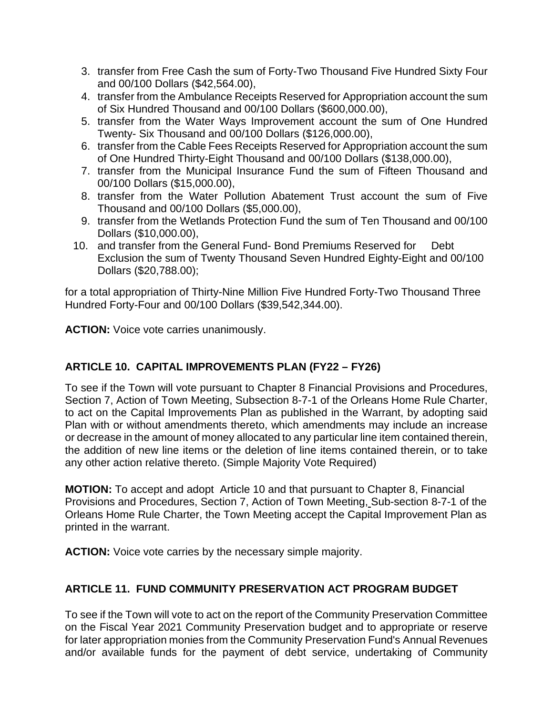- 3. transfer from Free Cash the sum of Forty-Two Thousand Five Hundred Sixty Four and 00/100 Dollars (\$42,564.00),
- 4. transfer from the Ambulance Receipts Reserved for Appropriation account the sum of Six Hundred Thousand and 00/100 Dollars (\$600,000.00),
- 5. transfer from the Water Ways Improvement account the sum of One Hundred Twenty- Six Thousand and 00/100 Dollars (\$126,000.00),
- 6. transfer from the Cable Fees Receipts Reserved for Appropriation account the sum of One Hundred Thirty-Eight Thousand and 00/100 Dollars (\$138,000.00),
- 7. transfer from the Municipal Insurance Fund the sum of Fifteen Thousand and 00/100 Dollars (\$15,000.00),
- 8. transfer from the Water Pollution Abatement Trust account the sum of Five Thousand and 00/100 Dollars (\$5,000.00),
- 9. transfer from the Wetlands Protection Fund the sum of Ten Thousand and 00/100 Dollars (\$10,000.00),
- 10. and transfer from the General Fund- Bond Premiums Reserved for Debt Exclusion the sum of Twenty Thousand Seven Hundred Eighty-Eight and 00/100 Dollars (\$20,788.00);

for a total appropriation of Thirty-Nine Million Five Hundred Forty-Two Thousand Three Hundred Forty-Four and 00/100 Dollars (\$39,542,344.00).

**ACTION:** Voice vote carries unanimously.

# **ARTICLE 10. CAPITAL IMPROVEMENTS PLAN (FY22 – FY26)**

To see if the Town will vote pursuant to Chapter 8 Financial Provisions and Procedures, Section 7, Action of Town Meeting, Subsection 8-7-1 of the Orleans Home Rule Charter, to act on the Capital Improvements Plan as published in the Warrant, by adopting said Plan with or without amendments thereto, which amendments may include an increase or decrease in the amount of money allocated to any particular line item contained therein, the addition of new line items or the deletion of line items contained therein, or to take any other action relative thereto. (Simple Majority Vote Required)

**MOTION:** To accept and adopt Article 10 and that pursuant to Chapter 8, Financial Provisions and Procedures, Section 7, Action of Town Meeting, Sub-section 8-7-1 of the Orleans Home Rule Charter, the Town Meeting accept the Capital Improvement Plan as printed in the warrant.

**ACTION:** Voice vote carries by the necessary simple majority.

# **ARTICLE 11. FUND COMMUNITY PRESERVATION ACT PROGRAM BUDGET**

To see if the Town will vote to act on the report of the Community Preservation Committee on the Fiscal Year 2021 Community Preservation budget and to appropriate or reserve for later appropriation monies from the Community Preservation Fund's Annual Revenues and/or available funds for the payment of debt service, undertaking of Community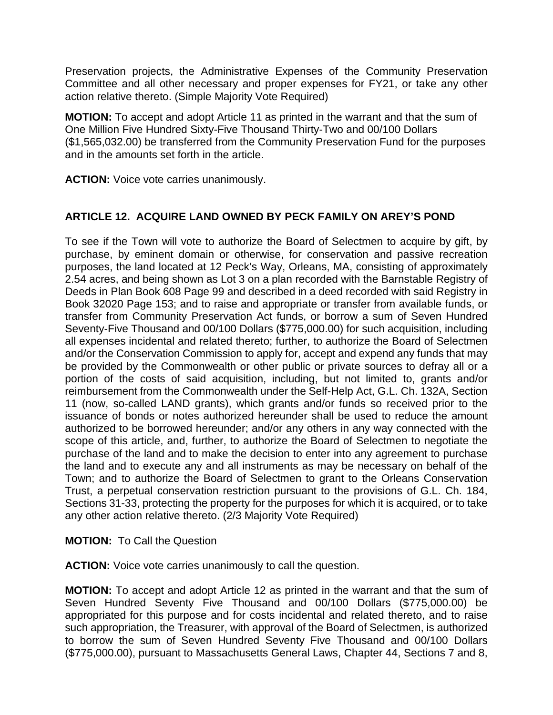Preservation projects, the Administrative Expenses of the Community Preservation Committee and all other necessary and proper expenses for FY21, or take any other action relative thereto. (Simple Majority Vote Required)

**MOTION:** To accept and adopt Article 11 as printed in the warrant and that the sum of One Million Five Hundred Sixty-Five Thousand Thirty-Two and 00/100 Dollars (\$1,565,032.00) be transferred from the Community Preservation Fund for the purposes and in the amounts set forth in the article.

**ACTION:** Voice vote carries unanimously.

## **ARTICLE 12. ACQUIRE LAND OWNED BY PECK FAMILY ON AREY'S POND**

To see if the Town will vote to authorize the Board of Selectmen to acquire by gift, by purchase, by eminent domain or otherwise, for conservation and passive recreation purposes, the land located at 12 Peck's Way, Orleans, MA, consisting of approximately 2.54 acres, and being shown as Lot 3 on a plan recorded with the Barnstable Registry of Deeds in Plan Book 608 Page 99 and described in a deed recorded with said Registry in Book 32020 Page 153; and to raise and appropriate or transfer from available funds, or transfer from Community Preservation Act funds, or borrow a sum of Seven Hundred Seventy-Five Thousand and 00/100 Dollars (\$775,000.00) for such acquisition, including all expenses incidental and related thereto; further, to authorize the Board of Selectmen and/or the Conservation Commission to apply for, accept and expend any funds that may be provided by the Commonwealth or other public or private sources to defray all or a portion of the costs of said acquisition, including, but not limited to, grants and/or reimbursement from the Commonwealth under the Self-Help Act, G.L. Ch. 132A, Section 11 (now, so-called LAND grants), which grants and/or funds so received prior to the issuance of bonds or notes authorized hereunder shall be used to reduce the amount authorized to be borrowed hereunder; and/or any others in any way connected with the scope of this article, and, further, to authorize the Board of Selectmen to negotiate the purchase of the land and to make the decision to enter into any agreement to purchase the land and to execute any and all instruments as may be necessary on behalf of the Town; and to authorize the Board of Selectmen to grant to the Orleans Conservation Trust, a perpetual conservation restriction pursuant to the provisions of G.L. Ch. 184, Sections 31-33, protecting the property for the purposes for which it is acquired, or to take any other action relative thereto. (2/3 Majority Vote Required)

#### **MOTION:** To Call the Question

**ACTION:** Voice vote carries unanimously to call the question.

**MOTION:** To accept and adopt Article 12 as printed in the warrant and that the sum of Seven Hundred Seventy Five Thousand and 00/100 Dollars (\$775,000.00) be appropriated for this purpose and for costs incidental and related thereto, and to raise such appropriation, the Treasurer, with approval of the Board of Selectmen, is authorized to borrow the sum of Seven Hundred Seventy Five Thousand and 00/100 Dollars (\$775,000.00), pursuant to Massachusetts General Laws, Chapter 44, Sections 7 and 8,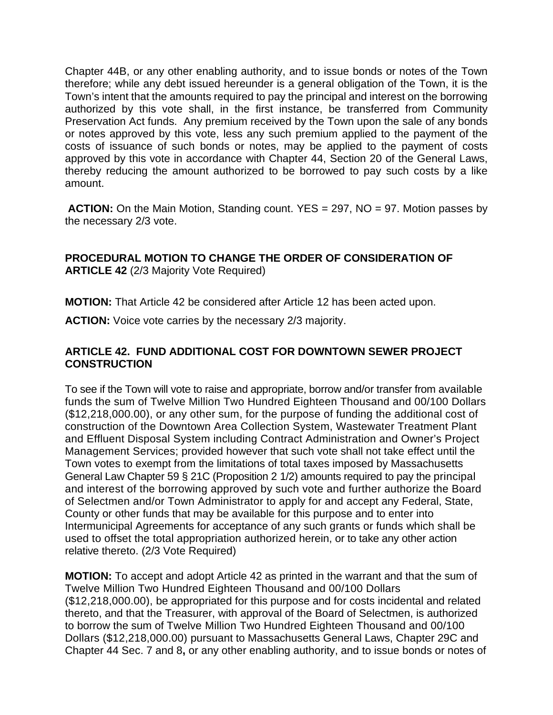Chapter 44B, or any other enabling authority, and to issue bonds or notes of the Town therefore; while any debt issued hereunder is a general obligation of the Town, it is the Town's intent that the amounts required to pay the principal and interest on the borrowing authorized by this vote shall, in the first instance, be transferred from Community Preservation Act funds. Any premium received by the Town upon the sale of any bonds or notes approved by this vote, less any such premium applied to the payment of the costs of issuance of such bonds or notes, may be applied to the payment of costs approved by this vote in accordance with Chapter 44, Section 20 of the General Laws, thereby reducing the amount authorized to be borrowed to pay such costs by a like amount.

**ACTION:** On the Main Motion, Standing count. YES = 297, NO = 97. Motion passes by the necessary 2/3 vote.

#### **PROCEDURAL MOTION TO CHANGE THE ORDER OF CONSIDERATION OF ARTICLE 42** (2/3 Majority Vote Required)

**MOTION:** That Article 42 be considered after Article 12 has been acted upon.

**ACTION:** Voice vote carries by the necessary 2/3 majority.

### **ARTICLE 42. FUND ADDITIONAL COST FOR DOWNTOWN SEWER PROJECT CONSTRUCTION**

To see if the Town will vote to raise and appropriate, borrow and/or transfer from available funds the sum of Twelve Million Two Hundred Eighteen Thousand and 00/100 Dollars (\$12,218,000.00), or any other sum, for the purpose of funding the additional cost of construction of the Downtown Area Collection System, Wastewater Treatment Plant and Effluent Disposal System including Contract Administration and Owner's Project Management Services; provided however that such vote shall not take effect until the Town votes to exempt from the limitations of total taxes imposed by Massachusetts General Law Chapter 59 § 21C (Proposition 2 1/2) amounts required to pay the principal and interest of the borrowing approved by such vote and further authorize the Board of Selectmen and/or Town Administrator to apply for and accept any Federal, State, County or other funds that may be available for this purpose and to enter into Intermunicipal Agreements for acceptance of any such grants or funds which shall be used to offset the total appropriation authorized herein, or to take any other action relative thereto. (2/3 Vote Required)

**MOTION:** To accept and adopt Article 42 as printed in the warrant and that the sum of Twelve Million Two Hundred Eighteen Thousand and 00/100 Dollars (\$12,218,000.00), be appropriated for this purpose and for costs incidental and related thereto, and that the Treasurer, with approval of the Board of Selectmen, is authorized to borrow the sum of Twelve Million Two Hundred Eighteen Thousand and 00/100 Dollars (\$12,218,000.00) pursuant to Massachusetts General Laws, Chapter 29C and Chapter 44 Sec. 7 and 8**,** or any other enabling authority, and to issue bonds or notes of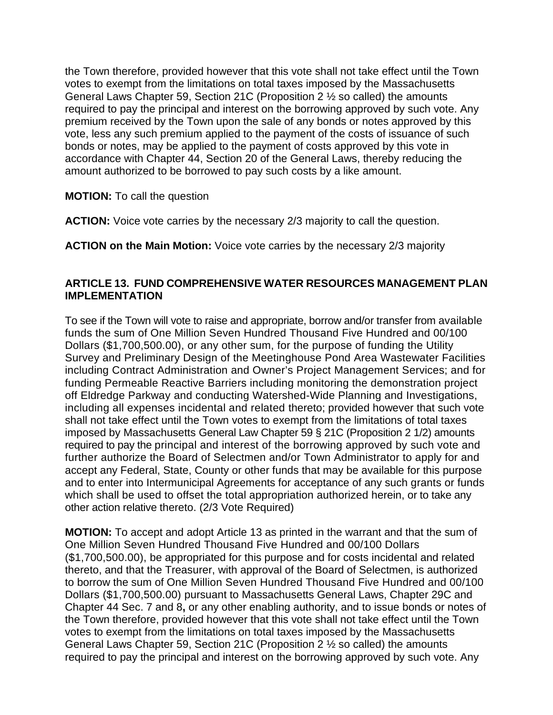the Town therefore, provided however that this vote shall not take effect until the Town votes to exempt from the limitations on total taxes imposed by the Massachusetts General Laws Chapter 59, Section 21C (Proposition 2 ½ so called) the amounts required to pay the principal and interest on the borrowing approved by such vote. Any premium received by the Town upon the sale of any bonds or notes approved by this vote, less any such premium applied to the payment of the costs of issuance of such bonds or notes, may be applied to the payment of costs approved by this vote in accordance with Chapter 44, Section 20 of the General Laws, thereby reducing the amount authorized to be borrowed to pay such costs by a like amount.

**MOTION:** To call the question

**ACTION:** Voice vote carries by the necessary 2/3 majority to call the question.

**ACTION on the Main Motion:** Voice vote carries by the necessary 2/3 majority

#### **ARTICLE 13. FUND COMPREHENSIVE WATER RESOURCES MANAGEMENT PLAN IMPLEMENTATION**

To see if the Town will vote to raise and appropriate, borrow and/or transfer from available funds the sum of One Million Seven Hundred Thousand Five Hundred and 00/100 Dollars (\$1,700,500.00), or any other sum, for the purpose of funding the Utility Survey and Preliminary Design of the Meetinghouse Pond Area Wastewater Facilities including Contract Administration and Owner's Project Management Services; and for funding Permeable Reactive Barriers including monitoring the demonstration project off Eldredge Parkway and conducting Watershed-Wide Planning and Investigations, including all expenses incidental and related thereto; provided however that such vote shall not take effect until the Town votes to exempt from the limitations of total taxes imposed by Massachusetts General Law Chapter 59 § 21C (Proposition 2 1/2) amounts required to pay the principal and interest of the borrowing approved by such vote and further authorize the Board of Selectmen and/or Town Administrator to apply for and accept any Federal, State, County or other funds that may be available for this purpose and to enter into Intermunicipal Agreements for acceptance of any such grants or funds which shall be used to offset the total appropriation authorized herein, or to take any other action relative thereto. (2/3 Vote Required)

**MOTION:** To accept and adopt Article 13 as printed in the warrant and that the sum of One Million Seven Hundred Thousand Five Hundred and 00/100 Dollars (\$1,700,500.00), be appropriated for this purpose and for costs incidental and related thereto, and that the Treasurer, with approval of the Board of Selectmen, is authorized to borrow the sum of One Million Seven Hundred Thousand Five Hundred and 00/100 Dollars (\$1,700,500.00) pursuant to Massachusetts General Laws, Chapter 29C and Chapter 44 Sec. 7 and 8**,** or any other enabling authority, and to issue bonds or notes of the Town therefore, provided however that this vote shall not take effect until the Town votes to exempt from the limitations on total taxes imposed by the Massachusetts General Laws Chapter 59, Section 21C (Proposition 2 ½ so called) the amounts required to pay the principal and interest on the borrowing approved by such vote. Any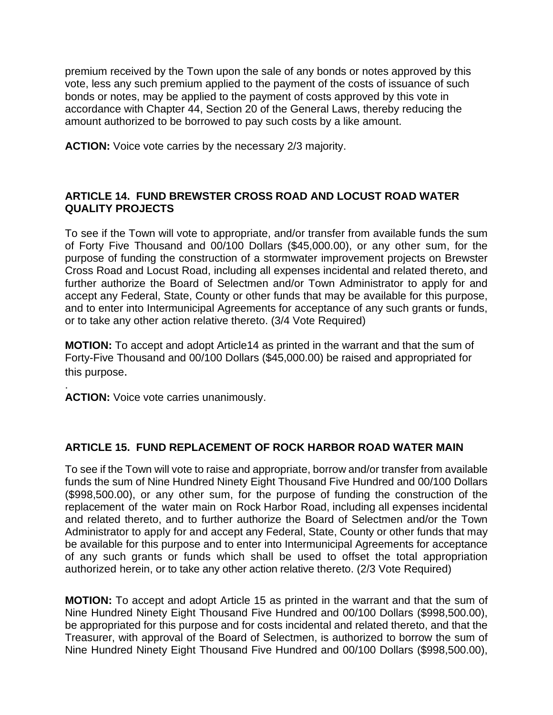premium received by the Town upon the sale of any bonds or notes approved by this vote, less any such premium applied to the payment of the costs of issuance of such bonds or notes, may be applied to the payment of costs approved by this vote in accordance with Chapter 44, Section 20 of the General Laws, thereby reducing the amount authorized to be borrowed to pay such costs by a like amount.

**ACTION:** Voice vote carries by the necessary 2/3 majority.

## **ARTICLE 14. FUND BREWSTER CROSS ROAD AND LOCUST ROAD WATER QUALITY PROJECTS**

To see if the Town will vote to appropriate, and/or transfer from available funds the sum of Forty Five Thousand and 00/100 Dollars (\$45,000.00), or any other sum, for the purpose of funding the construction of a stormwater improvement projects on Brewster Cross Road and Locust Road, including all expenses incidental and related thereto, and further authorize the Board of Selectmen and/or Town Administrator to apply for and accept any Federal, State, County or other funds that may be available for this purpose, and to enter into Intermunicipal Agreements for acceptance of any such grants or funds, or to take any other action relative thereto. (3/4 Vote Required)

**MOTION:** To accept and adopt Article14 as printed in the warrant and that the sum of Forty-Five Thousand and 00/100 Dollars (\$45,000.00) be raised and appropriated for this purpose.

. **ACTION:** Voice vote carries unanimously.

## **ARTICLE 15. FUND REPLACEMENT OF ROCK HARBOR ROAD WATER MAIN**

To see if the Town will vote to raise and appropriate, borrow and/or transfer from available funds the sum of Nine Hundred Ninety Eight Thousand Five Hundred and 00/100 Dollars (\$998,500.00), or any other sum, for the purpose of funding the construction of the replacement of the water main on Rock Harbor Road, including all expenses incidental and related thereto, and to further authorize the Board of Selectmen and/or the Town Administrator to apply for and accept any Federal, State, County or other funds that may be available for this purpose and to enter into Intermunicipal Agreements for acceptance of any such grants or funds which shall be used to offset the total appropriation authorized herein, or to take any other action relative thereto. (2/3 Vote Required)

**MOTION:** To accept and adopt Article 15 as printed in the warrant and that the sum of Nine Hundred Ninety Eight Thousand Five Hundred and 00/100 Dollars (\$998,500.00), be appropriated for this purpose and for costs incidental and related thereto, and that the Treasurer, with approval of the Board of Selectmen, is authorized to borrow the sum of Nine Hundred Ninety Eight Thousand Five Hundred and 00/100 Dollars (\$998,500.00),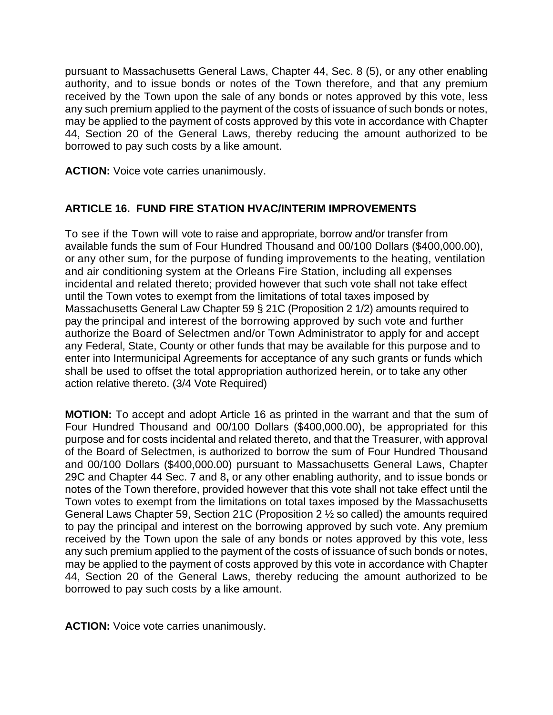pursuant to Massachusetts General Laws, Chapter 44, Sec. 8 (5), or any other enabling authority, and to issue bonds or notes of the Town therefore, and that any premium received by the Town upon the sale of any bonds or notes approved by this vote, less any such premium applied to the payment of the costs of issuance of such bonds or notes, may be applied to the payment of costs approved by this vote in accordance with Chapter 44, Section 20 of the General Laws, thereby reducing the amount authorized to be borrowed to pay such costs by a like amount.

**ACTION:** Voice vote carries unanimously.

### **ARTICLE 16. FUND FIRE STATION HVAC/INTERIM IMPROVEMENTS**

To see if the Town will vote to raise and appropriate, borrow and/or transfer from available funds the sum of Four Hundred Thousand and 00/100 Dollars (\$400,000.00), or any other sum, for the purpose of funding improvements to the heating, ventilation and air conditioning system at the Orleans Fire Station, including all expenses incidental and related thereto; provided however that such vote shall not take effect until the Town votes to exempt from the limitations of total taxes imposed by Massachusetts General Law Chapter 59 § 21C (Proposition 2 1/2) amounts required to pay the principal and interest of the borrowing approved by such vote and further authorize the Board of Selectmen and/or Town Administrator to apply for and accept any Federal, State, County or other funds that may be available for this purpose and to enter into Intermunicipal Agreements for acceptance of any such grants or funds which shall be used to offset the total appropriation authorized herein, or to take any other action relative thereto. (3/4 Vote Required)

**MOTION:** To accept and adopt Article 16 as printed in the warrant and that the sum of Four Hundred Thousand and 00/100 Dollars (\$400,000.00), be appropriated for this purpose and for costs incidental and related thereto, and that the Treasurer, with approval of the Board of Selectmen, is authorized to borrow the sum of Four Hundred Thousand and 00/100 Dollars (\$400,000.00) pursuant to Massachusetts General Laws, Chapter 29C and Chapter 44 Sec. 7 and 8**,** or any other enabling authority, and to issue bonds or notes of the Town therefore, provided however that this vote shall not take effect until the Town votes to exempt from the limitations on total taxes imposed by the Massachusetts General Laws Chapter 59, Section 21C (Proposition 2 ½ so called) the amounts required to pay the principal and interest on the borrowing approved by such vote. Any premium received by the Town upon the sale of any bonds or notes approved by this vote, less any such premium applied to the payment of the costs of issuance of such bonds or notes, may be applied to the payment of costs approved by this vote in accordance with Chapter 44, Section 20 of the General Laws, thereby reducing the amount authorized to be borrowed to pay such costs by a like amount.

**ACTION:** Voice vote carries unanimously.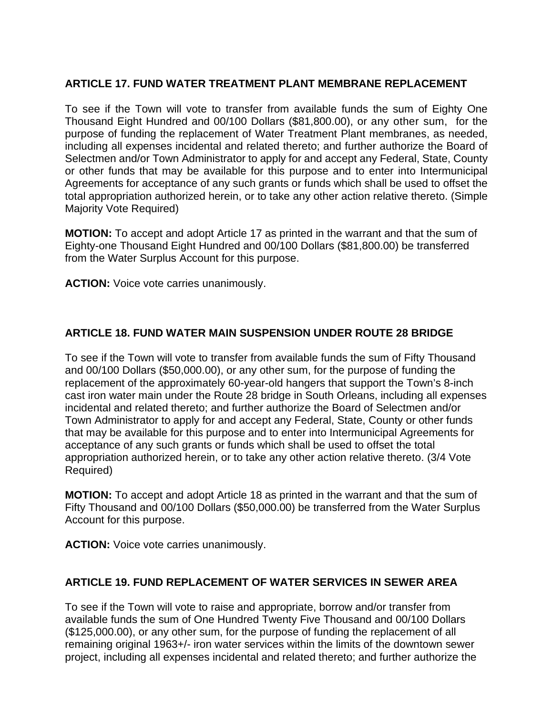## **ARTICLE 17. FUND WATER TREATMENT PLANT MEMBRANE REPLACEMENT**

To see if the Town will vote to transfer from available funds the sum of Eighty One Thousand Eight Hundred and 00/100 Dollars (\$81,800.00), or any other sum, for the purpose of funding the replacement of Water Treatment Plant membranes, as needed, including all expenses incidental and related thereto; and further authorize the Board of Selectmen and/or Town Administrator to apply for and accept any Federal, State, County or other funds that may be available for this purpose and to enter into Intermunicipal Agreements for acceptance of any such grants or funds which shall be used to offset the total appropriation authorized herein, or to take any other action relative thereto. (Simple Majority Vote Required)

**MOTION:** To accept and adopt Article 17 as printed in the warrant and that the sum of Eighty-one Thousand Eight Hundred and 00/100 Dollars (\$81,800.00) be transferred from the Water Surplus Account for this purpose.

**ACTION:** Voice vote carries unanimously.

## **ARTICLE 18. FUND WATER MAIN SUSPENSION UNDER ROUTE 28 BRIDGE**

To see if the Town will vote to transfer from available funds the sum of Fifty Thousand and 00/100 Dollars (\$50,000.00), or any other sum, for the purpose of funding the replacement of the approximately 60-year-old hangers that support the Town's 8-inch cast iron water main under the Route 28 bridge in South Orleans, including all expenses incidental and related thereto; and further authorize the Board of Selectmen and/or Town Administrator to apply for and accept any Federal, State, County or other funds that may be available for this purpose and to enter into Intermunicipal Agreements for acceptance of any such grants or funds which shall be used to offset the total appropriation authorized herein, or to take any other action relative thereto. (3/4 Vote Required)

**MOTION:** To accept and adopt Article 18 as printed in the warrant and that the sum of Fifty Thousand and 00/100 Dollars (\$50,000.00) be transferred from the Water Surplus Account for this purpose.

**ACTION:** Voice vote carries unanimously.

## **ARTICLE 19. FUND REPLACEMENT OF WATER SERVICES IN SEWER AREA**

To see if the Town will vote to raise and appropriate, borrow and/or transfer from available funds the sum of One Hundred Twenty Five Thousand and 00/100 Dollars (\$125,000.00), or any other sum, for the purpose of funding the replacement of all remaining original 1963+/- iron water services within the limits of the downtown sewer project, including all expenses incidental and related thereto; and further authorize the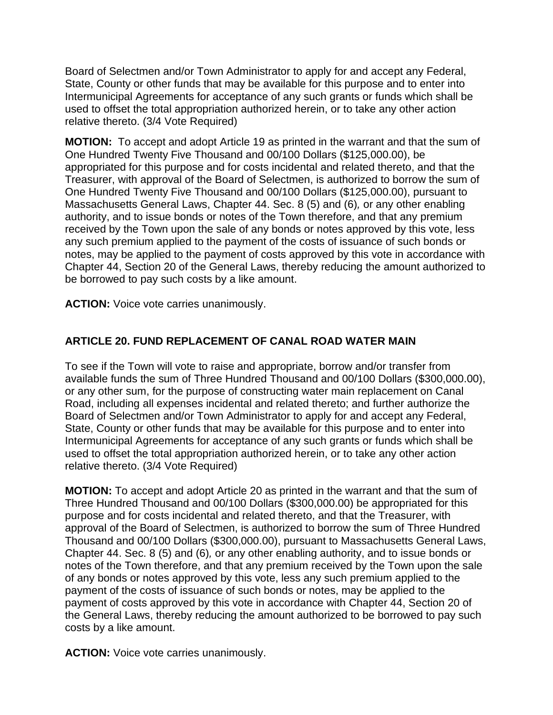Board of Selectmen and/or Town Administrator to apply for and accept any Federal, State, County or other funds that may be available for this purpose and to enter into Intermunicipal Agreements for acceptance of any such grants or funds which shall be used to offset the total appropriation authorized herein, or to take any other action relative thereto. (3/4 Vote Required)

**MOTION:** To accept and adopt Article 19 as printed in the warrant and that the sum of One Hundred Twenty Five Thousand and 00/100 Dollars (\$125,000.00), be appropriated for this purpose and for costs incidental and related thereto, and that the Treasurer, with approval of the Board of Selectmen, is authorized to borrow the sum of One Hundred Twenty Five Thousand and 00/100 Dollars (\$125,000.00), pursuant to Massachusetts General Laws, Chapter 44. Sec. 8 (5) and (6)*,* or any other enabling authority, and to issue bonds or notes of the Town therefore, and that any premium received by the Town upon the sale of any bonds or notes approved by this vote, less any such premium applied to the payment of the costs of issuance of such bonds or notes, may be applied to the payment of costs approved by this vote in accordance with Chapter 44, Section 20 of the General Laws, thereby reducing the amount authorized to be borrowed to pay such costs by a like amount.

**ACTION:** Voice vote carries unanimously.

# **ARTICLE 20. FUND REPLACEMENT OF CANAL ROAD WATER MAIN**

To see if the Town will vote to raise and appropriate, borrow and/or transfer from available funds the sum of Three Hundred Thousand and 00/100 Dollars (\$300,000.00), or any other sum, for the purpose of constructing water main replacement on Canal Road, including all expenses incidental and related thereto; and further authorize the Board of Selectmen and/or Town Administrator to apply for and accept any Federal, State, County or other funds that may be available for this purpose and to enter into Intermunicipal Agreements for acceptance of any such grants or funds which shall be used to offset the total appropriation authorized herein, or to take any other action relative thereto. (3/4 Vote Required)

**MOTION:** To accept and adopt Article 20 as printed in the warrant and that the sum of Three Hundred Thousand and 00/100 Dollars (\$300,000.00) be appropriated for this purpose and for costs incidental and related thereto, and that the Treasurer, with approval of the Board of Selectmen, is authorized to borrow the sum of Three Hundred Thousand and 00/100 Dollars (\$300,000.00), pursuant to Massachusetts General Laws, Chapter 44. Sec. 8 (5) and (6)*,* or any other enabling authority, and to issue bonds or notes of the Town therefore, and that any premium received by the Town upon the sale of any bonds or notes approved by this vote, less any such premium applied to the payment of the costs of issuance of such bonds or notes, may be applied to the payment of costs approved by this vote in accordance with Chapter 44, Section 20 of the General Laws, thereby reducing the amount authorized to be borrowed to pay such costs by a like amount.

**ACTION:** Voice vote carries unanimously.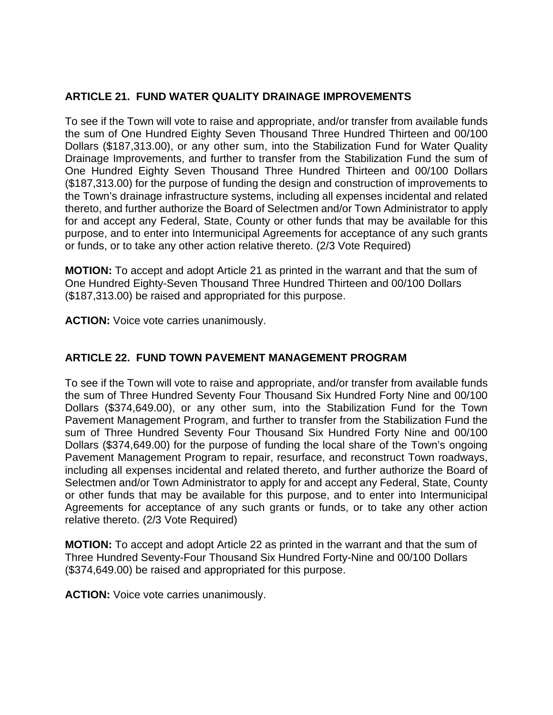## **ARTICLE 21. FUND WATER QUALITY DRAINAGE IMPROVEMENTS**

To see if the Town will vote to raise and appropriate, and/or transfer from available funds the sum of One Hundred Eighty Seven Thousand Three Hundred Thirteen and 00/100 Dollars (\$187,313.00), or any other sum, into the Stabilization Fund for Water Quality Drainage Improvements, and further to transfer from the Stabilization Fund the sum of One Hundred Eighty Seven Thousand Three Hundred Thirteen and 00/100 Dollars (\$187,313.00) for the purpose of funding the design and construction of improvements to the Town's drainage infrastructure systems, including all expenses incidental and related thereto, and further authorize the Board of Selectmen and/or Town Administrator to apply for and accept any Federal, State, County or other funds that may be available for this purpose, and to enter into Intermunicipal Agreements for acceptance of any such grants or funds, or to take any other action relative thereto. (2/3 Vote Required)

**MOTION:** To accept and adopt Article 21 as printed in the warrant and that the sum of One Hundred Eighty-Seven Thousand Three Hundred Thirteen and 00/100 Dollars (\$187,313.00) be raised and appropriated for this purpose.

**ACTION:** Voice vote carries unanimously.

## **ARTICLE 22. FUND TOWN PAVEMENT MANAGEMENT PROGRAM**

To see if the Town will vote to raise and appropriate, and/or transfer from available funds the sum of Three Hundred Seventy Four Thousand Six Hundred Forty Nine and 00/100 Dollars (\$374,649.00), or any other sum, into the Stabilization Fund for the Town Pavement Management Program, and further to transfer from the Stabilization Fund the sum of Three Hundred Seventy Four Thousand Six Hundred Forty Nine and 00/100 Dollars (\$374,649.00) for the purpose of funding the local share of the Town's ongoing Pavement Management Program to repair, resurface, and reconstruct Town roadways, including all expenses incidental and related thereto, and further authorize the Board of Selectmen and/or Town Administrator to apply for and accept any Federal, State, County or other funds that may be available for this purpose, and to enter into Intermunicipal Agreements for acceptance of any such grants or funds, or to take any other action relative thereto. (2/3 Vote Required)

**MOTION:** To accept and adopt Article 22 as printed in the warrant and that the sum of Three Hundred Seventy-Four Thousand Six Hundred Forty-Nine and 00/100 Dollars (\$374,649.00) be raised and appropriated for this purpose.

**ACTION:** Voice vote carries unanimously.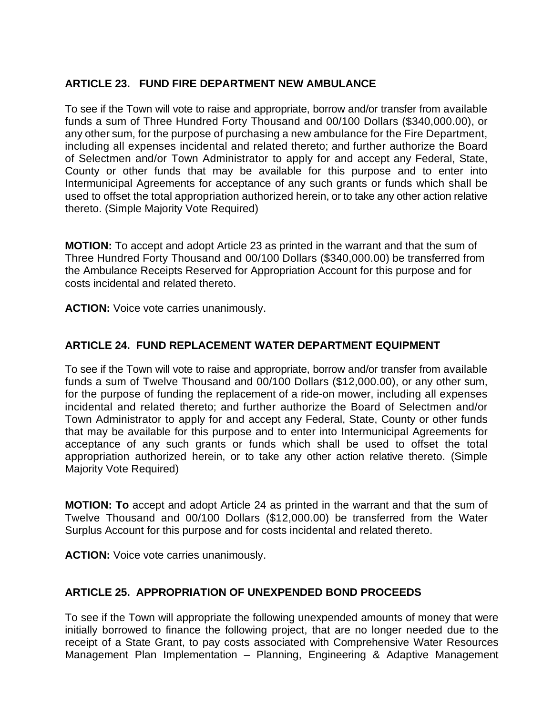## **ARTICLE 23. FUND FIRE DEPARTMENT NEW AMBULANCE**

To see if the Town will vote to raise and appropriate, borrow and/or transfer from available funds a sum of Three Hundred Forty Thousand and 00/100 Dollars (\$340,000.00), or any other sum, for the purpose of purchasing a new ambulance for the Fire Department, including all expenses incidental and related thereto; and further authorize the Board of Selectmen and/or Town Administrator to apply for and accept any Federal, State, County or other funds that may be available for this purpose and to enter into Intermunicipal Agreements for acceptance of any such grants or funds which shall be used to offset the total appropriation authorized herein, or to take any other action relative thereto. (Simple Majority Vote Required)

**MOTION:** To accept and adopt Article 23 as printed in the warrant and that the sum of Three Hundred Forty Thousand and 00/100 Dollars (\$340,000.00) be transferred from the Ambulance Receipts Reserved for Appropriation Account for this purpose and for costs incidental and related thereto.

**ACTION:** Voice vote carries unanimously.

## **ARTICLE 24. FUND REPLACEMENT WATER DEPARTMENT EQUIPMENT**

To see if the Town will vote to raise and appropriate, borrow and/or transfer from available funds a sum of Twelve Thousand and 00/100 Dollars (\$12,000.00), or any other sum, for the purpose of funding the replacement of a ride-on mower, including all expenses incidental and related thereto; and further authorize the Board of Selectmen and/or Town Administrator to apply for and accept any Federal, State, County or other funds that may be available for this purpose and to enter into Intermunicipal Agreements for acceptance of any such grants or funds which shall be used to offset the total appropriation authorized herein, or to take any other action relative thereto. (Simple Majority Vote Required)

**MOTION: To** accept and adopt Article 24 as printed in the warrant and that the sum of Twelve Thousand and 00/100 Dollars (\$12,000.00) be transferred from the Water Surplus Account for this purpose and for costs incidental and related thereto.

**ACTION:** Voice vote carries unanimously.

## **ARTICLE 25. APPROPRIATION OF UNEXPENDED BOND PROCEEDS**

To see if the Town will appropriate the following unexpended amounts of money that were initially borrowed to finance the following project, that are no longer needed due to the receipt of a State Grant, to pay costs associated with Comprehensive Water Resources Management Plan Implementation – Planning, Engineering & Adaptive Management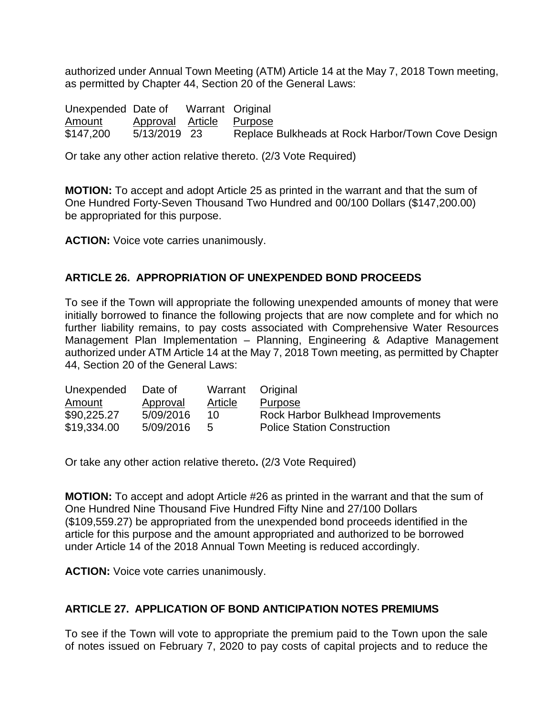authorized under Annual Town Meeting (ATM) Article 14 at the May 7, 2018 Town meeting, as permitted by Chapter 44, Section 20 of the General Laws:

| Unexpended Date of |                          | Warrant Original |                                                   |
|--------------------|--------------------------|------------------|---------------------------------------------------|
| Amount             | Approval Article Purpose |                  |                                                   |
| \$147,200          | 5/13/2019 23             |                  | Replace Bulkheads at Rock Harbor/Town Cove Design |

Or take any other action relative thereto. (2/3 Vote Required)

**MOTION:** To accept and adopt Article 25 as printed in the warrant and that the sum of One Hundred Forty-Seven Thousand Two Hundred and 00/100 Dollars (\$147,200.00) be appropriated for this purpose.

**ACTION:** Voice vote carries unanimously.

### **ARTICLE 26. APPROPRIATION OF UNEXPENDED BOND PROCEEDS**

To see if the Town will appropriate the following unexpended amounts of money that were initially borrowed to finance the following projects that are now complete and for which no further liability remains, to pay costs associated with Comprehensive Water Resources Management Plan Implementation – Planning, Engineering & Adaptive Management authorized under ATM Article 14 at the May 7, 2018 Town meeting, as permitted by Chapter 44, Section 20 of the General Laws:

| Date of   | Warrant Original |                                    |
|-----------|------------------|------------------------------------|
| Approval  | <b>Article</b>   | Purpose                            |
| 5/09/2016 | 10               | Rock Harbor Bulkhead Improvements  |
| 5/09/2016 | -5               | <b>Police Station Construction</b> |
|           |                  |                                    |

Or take any other action relative thereto**.** (2/3 Vote Required)

**MOTION:** To accept and adopt Article #26 as printed in the warrant and that the sum of One Hundred Nine Thousand Five Hundred Fifty Nine and 27/100 Dollars (\$109,559.27) be appropriated from the unexpended bond proceeds identified in the article for this purpose and the amount appropriated and authorized to be borrowed under Article 14 of the 2018 Annual Town Meeting is reduced accordingly.

**ACTION:** Voice vote carries unanimously.

#### **ARTICLE 27. APPLICATION OF BOND ANTICIPATION NOTES PREMIUMS**

To see if the Town will vote to appropriate the premium paid to the Town upon the sale of notes issued on February 7, 2020 to pay costs of capital projects and to reduce the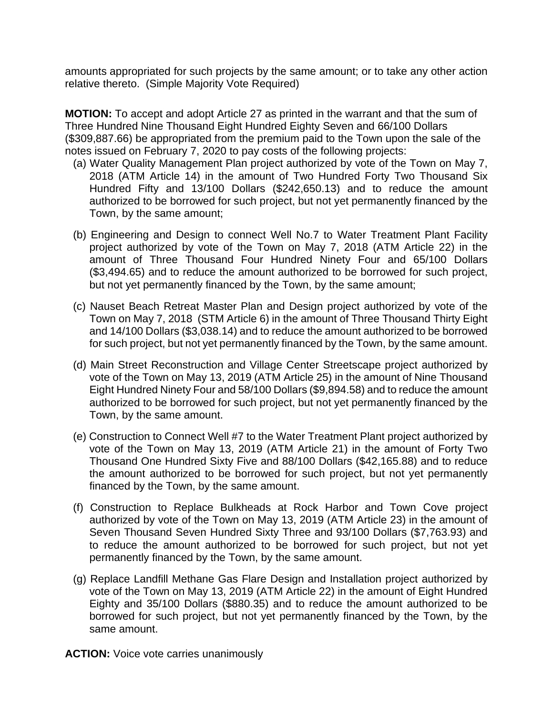amounts appropriated for such projects by the same amount; or to take any other action relative thereto. (Simple Majority Vote Required)

**MOTION:** To accept and adopt Article 27 as printed in the warrant and that the sum of Three Hundred Nine Thousand Eight Hundred Eighty Seven and 66/100 Dollars (\$309,887.66) be appropriated from the premium paid to the Town upon the sale of the notes issued on February 7, 2020 to pay costs of the following projects:

- (a) Water Quality Management Plan project authorized by vote of the Town on May 7, 2018 (ATM Article 14) in the amount of Two Hundred Forty Two Thousand Six Hundred Fifty and 13/100 Dollars (\$242,650.13) and to reduce the amount authorized to be borrowed for such project, but not yet permanently financed by the Town, by the same amount;
- (b) Engineering and Design to connect Well No.7 to Water Treatment Plant Facility project authorized by vote of the Town on May 7, 2018 (ATM Article 22) in the amount of Three Thousand Four Hundred Ninety Four and 65/100 Dollars (\$3,494.65) and to reduce the amount authorized to be borrowed for such project, but not yet permanently financed by the Town, by the same amount;
- (c) Nauset Beach Retreat Master Plan and Design project authorized by vote of the Town on May 7, 2018 (STM Article 6) in the amount of Three Thousand Thirty Eight and 14/100 Dollars (\$3,038.14) and to reduce the amount authorized to be borrowed for such project, but not yet permanently financed by the Town, by the same amount.
- (d) Main Street Reconstruction and Village Center Streetscape project authorized by vote of the Town on May 13, 2019 (ATM Article 25) in the amount of Nine Thousand Eight Hundred Ninety Four and 58/100 Dollars (\$9,894.58) and to reduce the amount authorized to be borrowed for such project, but not yet permanently financed by the Town, by the same amount.
- (e) Construction to Connect Well #7 to the Water Treatment Plant project authorized by vote of the Town on May 13, 2019 (ATM Article 21) in the amount of Forty Two Thousand One Hundred Sixty Five and 88/100 Dollars (\$42,165.88) and to reduce the amount authorized to be borrowed for such project, but not yet permanently financed by the Town, by the same amount.
- (f) Construction to Replace Bulkheads at Rock Harbor and Town Cove project authorized by vote of the Town on May 13, 2019 (ATM Article 23) in the amount of Seven Thousand Seven Hundred Sixty Three and 93/100 Dollars (\$7,763.93) and to reduce the amount authorized to be borrowed for such project, but not yet permanently financed by the Town, by the same amount.
- (g) Replace Landfill Methane Gas Flare Design and Installation project authorized by vote of the Town on May 13, 2019 (ATM Article 22) in the amount of Eight Hundred Eighty and 35/100 Dollars (\$880.35) and to reduce the amount authorized to be borrowed for such project, but not yet permanently financed by the Town, by the same amount.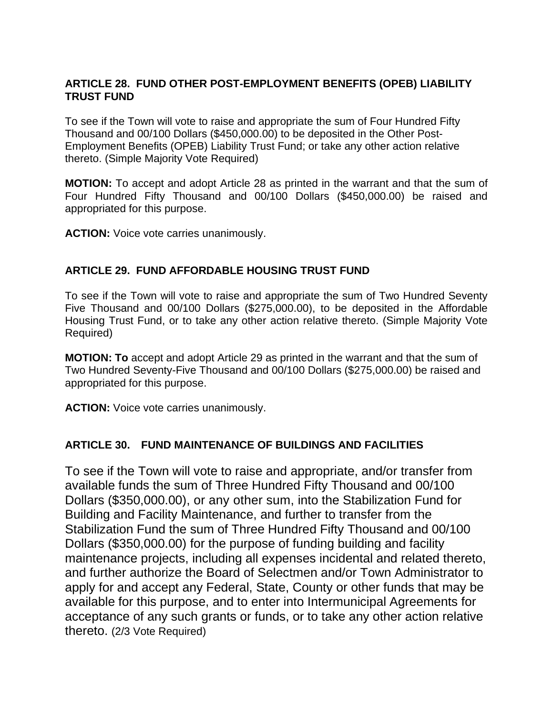## **ARTICLE 28. FUND OTHER POST-EMPLOYMENT BENEFITS (OPEB) LIABILITY TRUST FUND**

To see if the Town will vote to raise and appropriate the sum of Four Hundred Fifty Thousand and 00/100 Dollars (\$450,000.00) to be deposited in the Other Post-Employment Benefits (OPEB) Liability Trust Fund; or take any other action relative thereto. (Simple Majority Vote Required)

**MOTION:** To accept and adopt Article 28 as printed in the warrant and that the sum of Four Hundred Fifty Thousand and 00/100 Dollars (\$450,000.00) be raised and appropriated for this purpose.

**ACTION:** Voice vote carries unanimously.

### **ARTICLE 29. FUND AFFORDABLE HOUSING TRUST FUND**

To see if the Town will vote to raise and appropriate the sum of Two Hundred Seventy Five Thousand and 00/100 Dollars (\$275,000.00), to be deposited in the Affordable Housing Trust Fund, or to take any other action relative thereto. (Simple Majority Vote Required)

**MOTION: To** accept and adopt Article 29 as printed in the warrant and that the sum of Two Hundred Seventy-Five Thousand and 00/100 Dollars (\$275,000.00) be raised and appropriated for this purpose.

**ACTION:** Voice vote carries unanimously.

#### **ARTICLE 30. FUND MAINTENANCE OF BUILDINGS AND FACILITIES**

To see if the Town will vote to raise and appropriate, and/or transfer from available funds the sum of Three Hundred Fifty Thousand and 00/100 Dollars (\$350,000.00), or any other sum, into the Stabilization Fund for Building and Facility Maintenance, and further to transfer from the Stabilization Fund the sum of Three Hundred Fifty Thousand and 00/100 Dollars (\$350,000.00) for the purpose of funding building and facility maintenance projects, including all expenses incidental and related thereto, and further authorize the Board of Selectmen and/or Town Administrator to apply for and accept any Federal, State, County or other funds that may be available for this purpose, and to enter into Intermunicipal Agreements for acceptance of any such grants or funds, or to take any other action relative thereto. (2/3 Vote Required)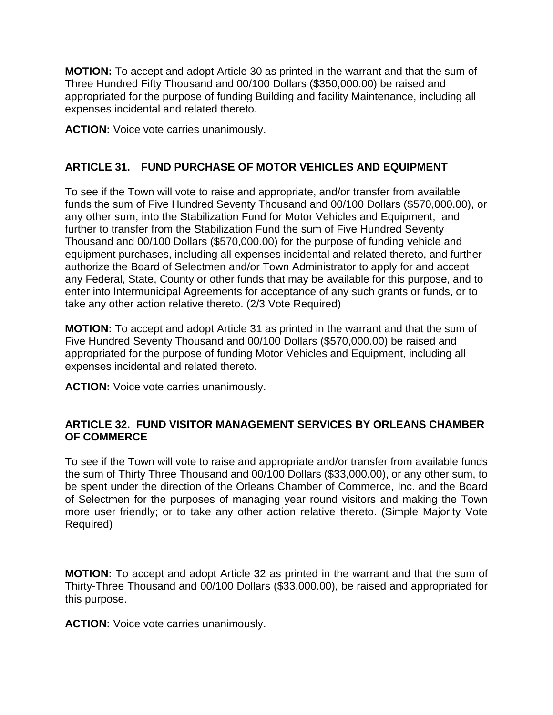**MOTION:** To accept and adopt Article 30 as printed in the warrant and that the sum of Three Hundred Fifty Thousand and 00/100 Dollars (\$350,000.00) be raised and appropriated for the purpose of funding Building and facility Maintenance, including all expenses incidental and related thereto.

**ACTION:** Voice vote carries unanimously.

## **ARTICLE 31. FUND PURCHASE OF MOTOR VEHICLES AND EQUIPMENT**

To see if the Town will vote to raise and appropriate, and/or transfer from available funds the sum of Five Hundred Seventy Thousand and 00/100 Dollars (\$570,000.00), or any other sum, into the Stabilization Fund for Motor Vehicles and Equipment, and further to transfer from the Stabilization Fund the sum of Five Hundred Seventy Thousand and 00/100 Dollars (\$570,000.00) for the purpose of funding vehicle and equipment purchases, including all expenses incidental and related thereto, and further authorize the Board of Selectmen and/or Town Administrator to apply for and accept any Federal, State, County or other funds that may be available for this purpose, and to enter into Intermunicipal Agreements for acceptance of any such grants or funds, or to take any other action relative thereto. (2/3 Vote Required)

**MOTION:** To accept and adopt Article 31 as printed in the warrant and that the sum of Five Hundred Seventy Thousand and 00/100 Dollars (\$570,000.00) be raised and appropriated for the purpose of funding Motor Vehicles and Equipment, including all expenses incidental and related thereto.

**ACTION:** Voice vote carries unanimously.

### **ARTICLE 32. FUND VISITOR MANAGEMENT SERVICES BY ORLEANS CHAMBER OF COMMERCE**

To see if the Town will vote to raise and appropriate and/or transfer from available funds the sum of Thirty Three Thousand and 00/100 Dollars (\$33,000.00), or any other sum, to be spent under the direction of the Orleans Chamber of Commerce, Inc. and the Board of Selectmen for the purposes of managing year round visitors and making the Town more user friendly; or to take any other action relative thereto. (Simple Majority Vote Required)

**MOTION:** To accept and adopt Article 32 as printed in the warrant and that the sum of Thirty-Three Thousand and 00/100 Dollars (\$33,000.00), be raised and appropriated for this purpose.

**ACTION:** Voice vote carries unanimously.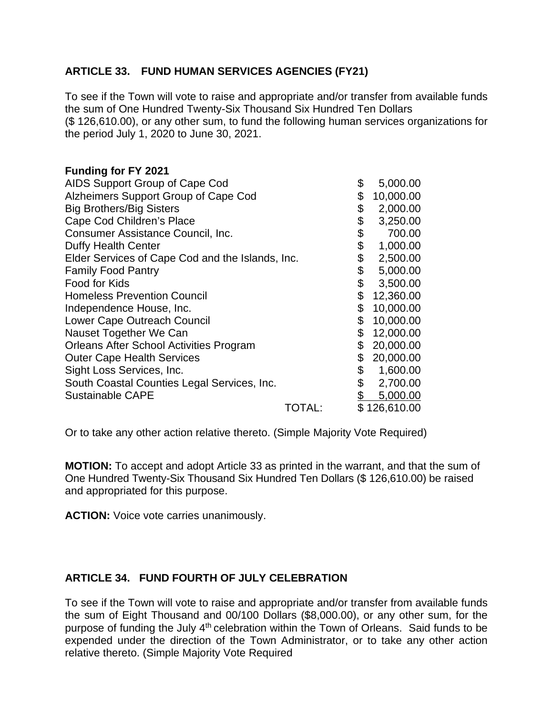### **ARTICLE 33. FUND HUMAN SERVICES AGENCIES (FY21)**

To see if the Town will vote to raise and appropriate and/or transfer from available funds the sum of One Hundred Twenty-Six Thousand Six Hundred Ten Dollars (\$ 126,610.00), or any other sum, to fund the following human services organizations for the period July 1, 2020 to June 30, 2021.

#### **Funding for FY 2021**

| AIDS Support Group of Cape Cod                   |        | \$<br>5,000.00  |
|--------------------------------------------------|--------|-----------------|
| Alzheimers Support Group of Cape Cod             |        | \$<br>10,000.00 |
| <b>Big Brothers/Big Sisters</b>                  |        | \$<br>2,000.00  |
| Cape Cod Children's Place                        |        | \$<br>3,250.00  |
| Consumer Assistance Council, Inc.                |        | \$<br>700.00    |
| Duffy Health Center                              |        | \$<br>1,000.00  |
| Elder Services of Cape Cod and the Islands, Inc. |        | \$<br>2,500.00  |
| <b>Family Food Pantry</b>                        |        | \$<br>5,000.00  |
| Food for Kids                                    |        | \$<br>3,500.00  |
| <b>Homeless Prevention Council</b>               |        | \$<br>12,360.00 |
| Independence House, Inc.                         |        | \$<br>10,000.00 |
| Lower Cape Outreach Council                      |        | \$<br>10,000.00 |
| Nauset Together We Can                           |        | \$<br>12,000.00 |
| <b>Orleans After School Activities Program</b>   |        | \$<br>20,000.00 |
| <b>Outer Cape Health Services</b>                |        | \$<br>20,000.00 |
| Sight Loss Services, Inc.                        |        | \$<br>1,600.00  |
| South Coastal Counties Legal Services, Inc.      |        | \$<br>2,700.00  |
| Sustainable CAPE                                 |        | 5,000.00        |
|                                                  | TOTAL: | \$126,610.00    |

Or to take any other action relative thereto. (Simple Majority Vote Required)

**MOTION:** To accept and adopt Article 33 as printed in the warrant, and that the sum of One Hundred Twenty-Six Thousand Six Hundred Ten Dollars (\$ 126,610.00) be raised and appropriated for this purpose.

**ACTION:** Voice vote carries unanimously.

## **ARTICLE 34. FUND FOURTH OF JULY CELEBRATION**

To see if the Town will vote to raise and appropriate and/or transfer from available funds the sum of Eight Thousand and 00/100 Dollars (\$8,000.00), or any other sum, for the purpose of funding the July 4<sup>th</sup> celebration within the Town of Orleans. Said funds to be expended under the direction of the Town Administrator, or to take any other action relative thereto. (Simple Majority Vote Required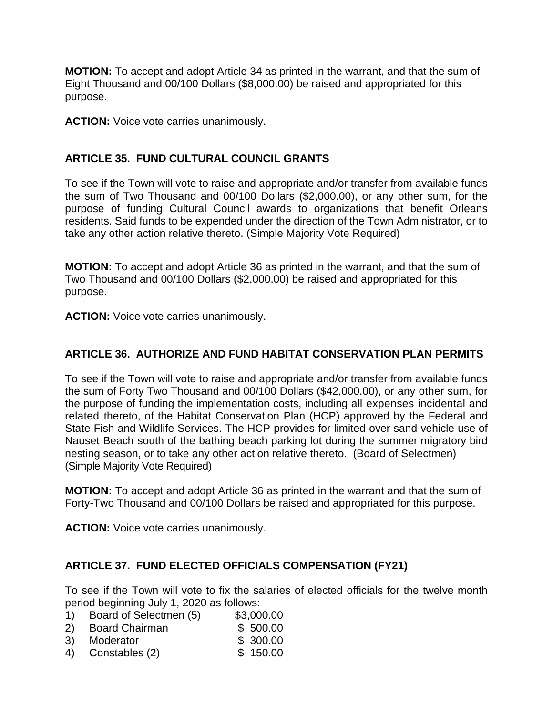**MOTION:** To accept and adopt Article 34 as printed in the warrant, and that the sum of Eight Thousand and 00/100 Dollars (\$8,000.00) be raised and appropriated for this purpose.

**ACTION:** Voice vote carries unanimously.

### **ARTICLE 35. FUND CULTURAL COUNCIL GRANTS**

To see if the Town will vote to raise and appropriate and/or transfer from available funds the sum of Two Thousand and 00/100 Dollars (\$2,000.00), or any other sum, for the purpose of funding Cultural Council awards to organizations that benefit Orleans residents. Said funds to be expended under the direction of the Town Administrator, or to take any other action relative thereto. (Simple Majority Vote Required)

**MOTION:** To accept and adopt Article 36 as printed in the warrant, and that the sum of Two Thousand and 00/100 Dollars (\$2,000.00) be raised and appropriated for this purpose.

**ACTION:** Voice vote carries unanimously.

### **ARTICLE 36. AUTHORIZE AND FUND HABITAT CONSERVATION PLAN PERMITS**

To see if the Town will vote to raise and appropriate and/or transfer from available funds the sum of Forty Two Thousand and 00/100 Dollars (\$42,000.00), or any other sum, for the purpose of funding the implementation costs, including all expenses incidental and related thereto, of the Habitat Conservation Plan (HCP) approved by the Federal and State Fish and Wildlife Services. The HCP provides for limited over sand vehicle use of Nauset Beach south of the bathing beach parking lot during the summer migratory bird nesting season, or to take any other action relative thereto. (Board of Selectmen) (Simple Majority Vote Required)

**MOTION:** To accept and adopt Article 36 as printed in the warrant and that the sum of Forty-Two Thousand and 00/100 Dollars be raised and appropriated for this purpose.

**ACTION:** Voice vote carries unanimously.

#### **ARTICLE 37. FUND ELECTED OFFICIALS COMPENSATION (FY21)**

To see if the Town will vote to fix the salaries of elected officials for the twelve month period beginning July 1, 2020 as follows:

- 1) Board of Selectmen (5) \$3,000.00
- 2) Board Chairman \$ 500.00
- 3) Moderator \$ 300.00
- 4) Constables (2) \$ 150.00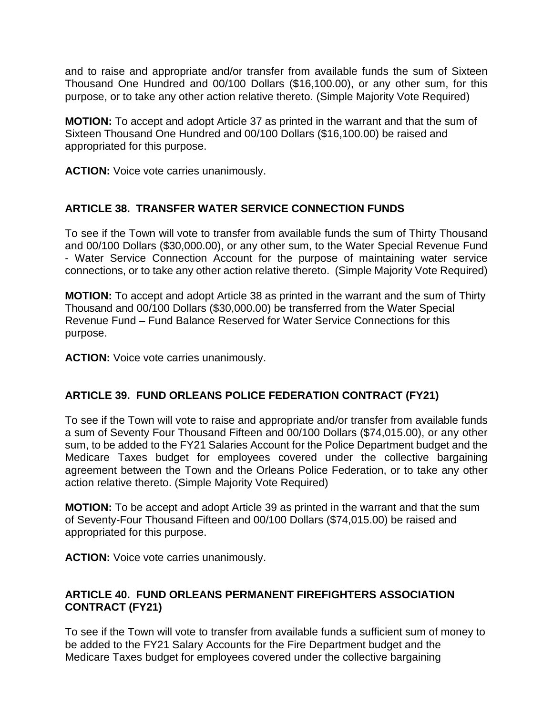and to raise and appropriate and/or transfer from available funds the sum of Sixteen Thousand One Hundred and 00/100 Dollars (\$16,100.00), or any other sum, for this purpose, or to take any other action relative thereto. (Simple Majority Vote Required)

**MOTION:** To accept and adopt Article 37 as printed in the warrant and that the sum of Sixteen Thousand One Hundred and 00/100 Dollars (\$16,100.00) be raised and appropriated for this purpose.

**ACTION:** Voice vote carries unanimously.

### **ARTICLE 38. TRANSFER WATER SERVICE CONNECTION FUNDS**

To see if the Town will vote to transfer from available funds the sum of Thirty Thousand and 00/100 Dollars (\$30,000.00), or any other sum, to the Water Special Revenue Fund - Water Service Connection Account for the purpose of maintaining water service connections, or to take any other action relative thereto. (Simple Majority Vote Required)

**MOTION:** To accept and adopt Article 38 as printed in the warrant and the sum of Thirty Thousand and 00/100 Dollars (\$30,000.00) be transferred from the Water Special Revenue Fund – Fund Balance Reserved for Water Service Connections for this purpose.

**ACTION:** Voice vote carries unanimously.

#### **ARTICLE 39. FUND ORLEANS POLICE FEDERATION CONTRACT (FY21)**

To see if the Town will vote to raise and appropriate and/or transfer from available funds a sum of Seventy Four Thousand Fifteen and 00/100 Dollars (\$74,015.00), or any other sum, to be added to the FY21 Salaries Account for the Police Department budget and the Medicare Taxes budget for employees covered under the collective bargaining agreement between the Town and the Orleans Police Federation, or to take any other action relative thereto. (Simple Majority Vote Required)

**MOTION:** To be accept and adopt Article 39 as printed in the warrant and that the sum of Seventy-Four Thousand Fifteen and 00/100 Dollars (\$74,015.00) be raised and appropriated for this purpose.

**ACTION:** Voice vote carries unanimously.

#### **ARTICLE 40. FUND ORLEANS PERMANENT FIREFIGHTERS ASSOCIATION CONTRACT (FY21)**

To see if the Town will vote to transfer from available funds a sufficient sum of money to be added to the FY21 Salary Accounts for the Fire Department budget and the Medicare Taxes budget for employees covered under the collective bargaining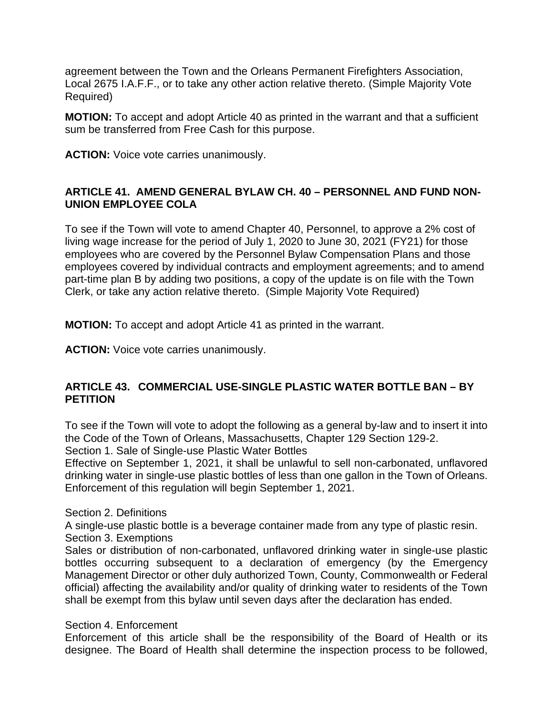agreement between the Town and the Orleans Permanent Firefighters Association, Local 2675 I.A.F.F., or to take any other action relative thereto. (Simple Majority Vote Required)

**MOTION:** To accept and adopt Article 40 as printed in the warrant and that a sufficient sum be transferred from Free Cash for this purpose.

**ACTION:** Voice vote carries unanimously.

#### **ARTICLE 41. AMEND GENERAL BYLAW CH. 40 – PERSONNEL AND FUND NON-UNION EMPLOYEE COLA**

To see if the Town will vote to amend Chapter 40, Personnel, to approve a 2% cost of living wage increase for the period of July 1, 2020 to June 30, 2021 (FY21) for those employees who are covered by the Personnel Bylaw Compensation Plans and those employees covered by individual contracts and employment agreements; and to amend part-time plan B by adding two positions, a copy of the update is on file with the Town Clerk, or take any action relative thereto. (Simple Majority Vote Required)

**MOTION:** To accept and adopt Article 41 as printed in the warrant.

**ACTION:** Voice vote carries unanimously.

### **ARTICLE 43. COMMERCIAL USE-SINGLE PLASTIC WATER BOTTLE BAN – BY PETITION**

To see if the Town will vote to adopt the following as a general by-law and to insert it into the Code of the Town of Orleans, Massachusetts, Chapter 129 Section 129-2.

Section 1. Sale of Single-use Plastic Water Bottles

Effective on September 1, 2021, it shall be unlawful to sell non-carbonated, unflavored drinking water in single-use plastic bottles of less than one gallon in the Town of Orleans. Enforcement of this regulation will begin September 1, 2021.

Section 2. Definitions

A single-use plastic bottle is a beverage container made from any type of plastic resin. Section 3. Exemptions

Sales or distribution of non-carbonated, unflavored drinking water in single-use plastic bottles occurring subsequent to a declaration of emergency (by the Emergency Management Director or other duly authorized Town, County, Commonwealth or Federal official) affecting the availability and/or quality of drinking water to residents of the Town shall be exempt from this bylaw until seven days after the declaration has ended.

#### Section 4. Enforcement

Enforcement of this article shall be the responsibility of the Board of Health or its designee. The Board of Health shall determine the inspection process to be followed,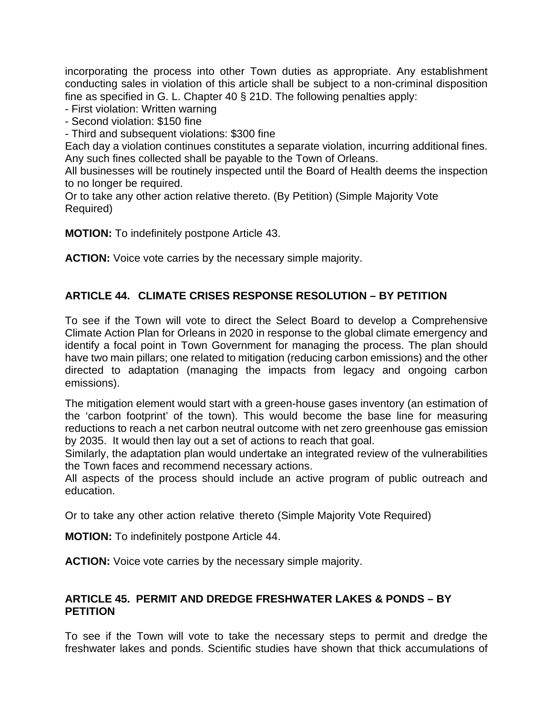incorporating the process into other Town duties as appropriate. Any establishment conducting sales in violation of this article shall be subject to a non-criminal disposition fine as specified in G. L. Chapter 40 § 21D. The following penalties apply:

- First violation: Written warning

- Second violation: \$150 fine

- Third and subsequent violations: \$300 fine

Each day a violation continues constitutes a separate violation, incurring additional fines. Any such fines collected shall be payable to the Town of Orleans.

All businesses will be routinely inspected until the Board of Health deems the inspection to no longer be required.

Or to take any other action relative thereto. (By Petition) (Simple Majority Vote Required)

**MOTION:** To indefinitely postpone Article 43.

**ACTION:** Voice vote carries by the necessary simple majority.

#### **ARTICLE 44. CLIMATE CRISES RESPONSE RESOLUTION – BY PETITION**

To see if the Town will vote to direct the Select Board to develop a Comprehensive Climate Action Plan for Orleans in 2020 in response to the global climate emergency and identify a focal point in Town Government for managing the process. The plan should have two main pillars; one related to mitigation (reducing carbon emissions) and the other directed to adaptation (managing the impacts from legacy and ongoing carbon emissions).

The mitigation element would start with a green-house gases inventory (an estimation of the 'carbon footprint' of the town). This would become the base line for measuring reductions to reach a net carbon neutral outcome with net zero greenhouse gas emission by 2035. It would then lay out a set of actions to reach that goal.

Similarly, the adaptation plan would undertake an integrated review of the vulnerabilities the Town faces and recommend necessary actions.

All aspects of the process should include an active program of public outreach and education.

Or to take any other action relative thereto (Simple Majority Vote Required)

**MOTION:** To indefinitely postpone Article 44.

**ACTION:** Voice vote carries by the necessary simple majority.

#### **ARTICLE 45. PERMIT AND DREDGE FRESHWATER LAKES & PONDS – BY PETITION**

To see if the Town will vote to take the necessary steps to permit and dredge the freshwater lakes and ponds. Scientific studies have shown that thick accumulations of